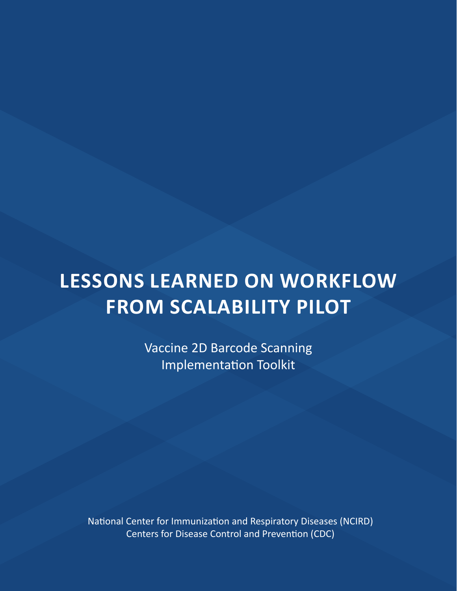# **LESSONS LEARNED ON WORKFLOW FROM SCALABILITY PILOT**

Vaccine 2D Barcode Scanning Implementation Toolkit

National Center for Immunization and Respiratory Diseases (NCIRD) Centers for Disease Control and Prevention (CDC)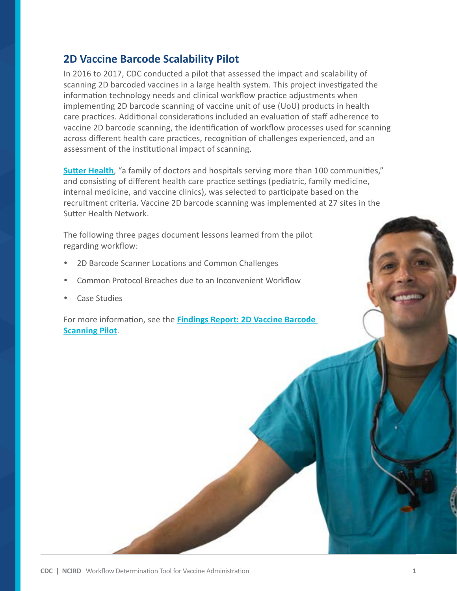## **2D Vaccine Barcode Scalability Pilot**

In 2016 to 2017, CDC conducted a pilot that assessed the impact and scalability of scanning 2D barcoded vaccines in a large health system. This project investigated the information technology needs and clinical workflow practice adjustments when implementing 2D barcode scanning of vaccine unit of use (UoU) products in health care practices. Additional considerations included an evaluation of staff adherence to vaccine 2D barcode scanning, the identification of workflow processes used for scanning across different health care practices, recognition of challenges experienced, and an assessment of the institutional impact of scanning.

**[Sutter Health](https://www.sutterhealth.org/)**, "a family of doctors and hospitals serving more than 100 communities," and consisting of different health care practice settings (pediatric, family medicine, internal medicine, and vaccine clinics), was selected to participate based on the recruitment criteria. Vaccine 2D barcode scanning was implemented at 27 sites in the Sutter Health Network.

The following three pages document lessons learned from the pilot regarding workflow:

- 2D Barcode Scanner Locations and Common Challenges
- Common Protocol Breaches due to an Inconvenient Workflow
- **Case Studies**

For more information, see the **[Findings Report: 2D Vaccine Barcode](https://www.cdc.gov/vaccines/programs/iis/2d-vaccine-barcodes/downloads/2D-Findings-Report-508.pdf)  [Scanning Pilot](https://www.cdc.gov/vaccines/programs/iis/2d-barcodes/downloads/2D-Findings-Report-508.pdf)**.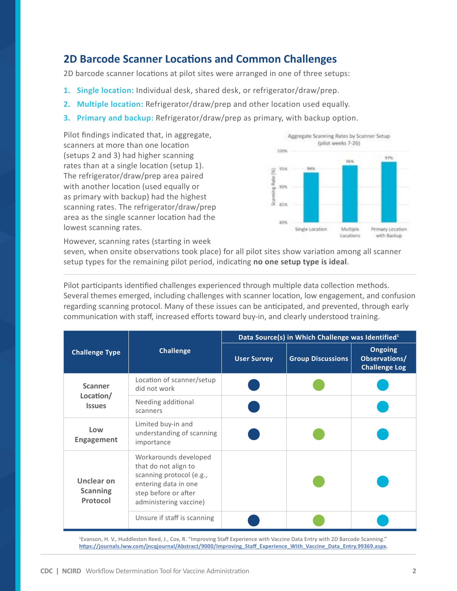## **2D Barcode Scanner Locations and Common Challenges**

2D barcode scanner locations at pilot sites were arranged in one of three setups:

- **1. Single location:** Individual desk, shared desk, or refrigerator/draw/prep.
- **2. Multiple location:** Refrigerator/draw/prep and other location used equally.
- **3. Primary and backup:** Refrigerator/draw/prep as primary, with backup option.

Pilot findings indicated that, in aggregate, scanners at more than one location (setups 2 and 3) had higher scanning rates than at a single location (setup 1). The refrigerator/draw/prep area paired with another location (used equally or as primary with backup) had the highest scanning rates. The refrigerator/draw/prep area as the single scanner location had the lowest scanning rates.



However, scanning rates (starting in week

seven, when onsite observations took place) for all pilot sites show variation among all scanner setup types for the remaining pilot period, indicating **no one setup type is ideal**.

Pilot participants identified challenges experienced through multiple data collection methods. Several themes emerged, including challenges with scanner location, low engagement, and confusion regarding scanning protocol. Many of these issues can be anticipated, and prevented, through early communication with staff, increased efforts toward buy-in, and clearly understood training.

| <b>Challenge Type</b>                        | <b>Challenge</b>                                                                                                                                    | Data Source(s) in Which Challenge was Identified <sup>1</sup> |                          |                                                         |
|----------------------------------------------|-----------------------------------------------------------------------------------------------------------------------------------------------------|---------------------------------------------------------------|--------------------------|---------------------------------------------------------|
|                                              |                                                                                                                                                     | <b>User Survey</b>                                            | <b>Group Discussions</b> | <b>Ongoing</b><br>Observations/<br><b>Challenge Log</b> |
| <b>Scanner</b><br>Location/<br><b>Issues</b> | Location of scanner/setup<br>did not work                                                                                                           |                                                               |                          |                                                         |
|                                              | Needing additional<br>scanners                                                                                                                      |                                                               |                          |                                                         |
| Low<br><b>Engagement</b>                     | Limited buy-in and<br>understanding of scanning<br>importance                                                                                       |                                                               |                          |                                                         |
| Unclear on<br><b>Scanning</b><br>Protocol    | Workarounds developed<br>that do not align to<br>scanning protocol (e.g.,<br>entering data in one<br>step before or after<br>administering vaccine) |                                                               |                          |                                                         |
|                                              | Unsure if staff is scanning                                                                                                                         |                                                               |                          |                                                         |

1 Evanson, H. V., Huddleston Reed, J., Cox, R. "Improving Staff Experience with Vaccine Data Entry with 2D Barcode Scanning." **[https://journals.lww.com/jncqjournal/Abstract/9000/Improving\\_Staff\\_Experience\\_With\\_Vaccine\\_Data\\_Entry.99369.aspx](https://journals.lww.com/jncqjournal/Abstract/9000/Improving_Staff_Experience_With_Vaccine_Data_Entr).**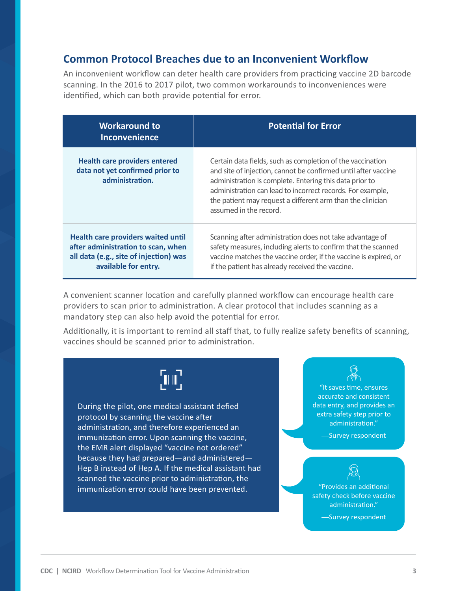### **Common Protocol Breaches due to an Inconvenient Workflow**

An inconvenient workflow can deter health care providers from practicing vaccine 2D barcode scanning. In the 2016 to 2017 pilot, two common workarounds to inconveniences were identified, which can both provide potential for error.

| <b>Workaround to</b><br><b>Inconvenience</b>                                                                                                      | <b>Potential for Error</b>                                                                                                                                                                                                                                                                                                                    |
|---------------------------------------------------------------------------------------------------------------------------------------------------|-----------------------------------------------------------------------------------------------------------------------------------------------------------------------------------------------------------------------------------------------------------------------------------------------------------------------------------------------|
| <b>Health care providers entered</b><br>data not yet confirmed prior to<br>administration.                                                        | Certain data fields, such as completion of the vaccination<br>and site of injection, cannot be confirmed until after vaccine<br>administration is complete. Entering this data prior to<br>administration can lead to incorrect records. For example,<br>the patient may request a different arm than the clinician<br>assumed in the record. |
| <b>Health care providers waited until</b><br>after administration to scan, when<br>all data (e.g., site of injection) was<br>available for entry. | Scanning after administration does not take advantage of<br>safety measures, including alerts to confirm that the scanned<br>vaccine matches the vaccine order, if the vaccine is expired, or<br>if the patient has already received the vaccine.                                                                                             |

A convenient scanner location and carefully planned workflow can encourage health care providers to scan prior to administration. A clear protocol that includes scanning as a mandatory step can also help avoid the potential for error.

Additionally, it is important to remind all staff that, to fully realize safety benefits of scanning, vaccines should be scanned prior to administration.

# הות',

During the pilot, one medical assistant defied protocol by scanning the vaccine after administration, and therefore experienced an immunization error. Upon scanning the vaccine, the EMR alert displayed "vaccine not ordered" because they had prepared—and administered— Hep B instead of Hep A. If the medical assistant had scanned the vaccine prior to administration, the immunization error could have been prevented.

"It saves time, ensures accurate and consistent data entry, and provides an extra safety step prior to administration."

**—**Survey respondent

"Provides an additional safety check before vaccine administration."

**—**Survey respondent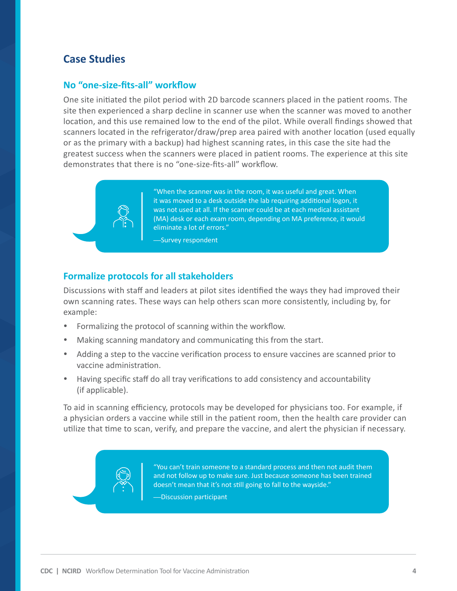## **Case Studies**

#### **No "one-size-fits-all" workflow**

One site initiated the pilot period with 2D barcode scanners placed in the patient rooms. The site then experienced a sharp decline in scanner use when the scanner was moved to another location, and this use remained low to the end of the pilot. While overall findings showed that scanners located in the refrigerator/draw/prep area paired with another location (used equally or as the primary with a backup) had highest scanning rates, in this case the site had the greatest success when the scanners were placed in patient rooms. The experience at this site demonstrates that there is no "one-size-fits-all" workflow.



"When the scanner was in the room, it was useful and great. When it was moved to a desk outside the lab requiring additional logon, it was not used at all. If the scanner could be at each medical assistant (MA) desk or each exam room, depending on MA preference, it would eliminate a lot of errors."

**—**Survey respondent

### **Formalize protocols for all stakeholders**

Discussions with staff and leaders at pilot sites identified the ways they had improved their own scanning rates. These ways can help others scan more consistently, including by, for example:

- Formalizing the protocol of scanning within the workflow.
- Making scanning mandatory and communicating this from the start.
- Adding a step to the vaccine verification process to ensure vaccines are scanned prior to vaccine administration.
- Having specific staff do all tray verifications to add consistency and accountability (if applicable).

To aid in scanning efficiency, protocols may be developed for physicians too. For example, if a physician orders a vaccine while still in the patient room, then the health care provider can utilize that time to scan, verify, and prepare the vaccine, and alert the physician if necessary.

> "You can't train someone to a standard process and then not audit them and not follow up to make sure. Just because someone has been trained doesn't mean that it's not still going to fall to the wayside."

**—**Discussion participant